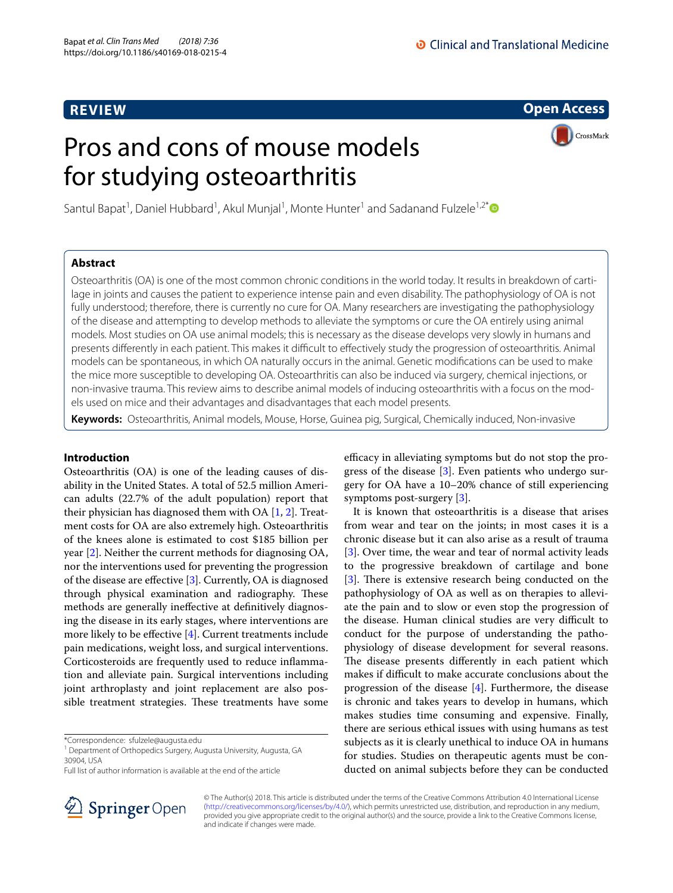**Open Access**

# Pros and cons of mouse models for studying osteoarthritis



Santul Bapat<sup>1</sup>, Daniel Hubbard<sup>1</sup>, Akul Munjal<sup>1</sup>, Monte Hunter<sup>1</sup> and Sadanand Fulzele<sup>1,2[\\*](http://orcid.org/0000-0002-3510-6759)</sup>

# **Abstract**

Osteoarthritis (OA) is one of the most common chronic conditions in the world today. It results in breakdown of cartilage in joints and causes the patient to experience intense pain and even disability. The pathophysiology of OA is not fully understood; therefore, there is currently no cure for OA. Many researchers are investigating the pathophysiology of the disease and attempting to develop methods to alleviate the symptoms or cure the OA entirely using animal models. Most studies on OA use animal models; this is necessary as the disease develops very slowly in humans and presents differently in each patient. This makes it difficult to effectively study the progression of osteoarthritis. Animal models can be spontaneous, in which OA naturally occurs in the animal. Genetic modifcations can be used to make the mice more susceptible to developing OA. Osteoarthritis can also be induced via surgery, chemical injections, or non-invasive trauma. This review aims to describe animal models of inducing osteoarthritis with a focus on the models used on mice and their advantages and disadvantages that each model presents.

**Keywords:** Osteoarthritis, Animal models, Mouse, Horse, Guinea pig, Surgical, Chemically induced, Non-invasive

## **Introduction**

Osteoarthritis (OA) is one of the leading causes of disability in the United States. A total of 52.5 million American adults (22.7% of the adult population) report that their physician has diagnosed them with OA [\[1](#page-10-0), [2\]](#page-11-0). Treatment costs for OA are also extremely high. Osteoarthritis of the knees alone is estimated to cost \$185 billion per year [\[2](#page-11-0)]. Neither the current methods for diagnosing OA, nor the interventions used for preventing the progression of the disease are efective [[3\]](#page-11-1). Currently, OA is diagnosed through physical examination and radiography. These methods are generally inefective at defnitively diagnosing the disease in its early stages, where interventions are more likely to be efective [\[4](#page-11-2)]. Current treatments include pain medications, weight loss, and surgical interventions. Corticosteroids are frequently used to reduce infammation and alleviate pain. Surgical interventions including joint arthroplasty and joint replacement are also possible treatment strategies. These treatments have some

\*Correspondence: sfulzele@augusta.edu

<sup>1</sup> Department of Orthopedics Surgery, Augusta University, Augusta, GA 30904, USA

Full list of author information is available at the end of the article



efficacy in alleviating symptoms but do not stop the pro-gress of the disease [[3\]](#page-11-1). Even patients who undergo surgery for OA have a 10–20% chance of still experiencing symptoms post-surgery [\[3](#page-11-1)].

It is known that osteoarthritis is a disease that arises from wear and tear on the joints; in most cases it is a chronic disease but it can also arise as a result of trauma [[3\]](#page-11-1). Over time, the wear and tear of normal activity leads to the progressive breakdown of cartilage and bone [[3\]](#page-11-1). There is extensive research being conducted on the pathophysiology of OA as well as on therapies to alleviate the pain and to slow or even stop the progression of the disease. Human clinical studies are very difficult to conduct for the purpose of understanding the pathophysiology of disease development for several reasons. The disease presents differently in each patient which makes if difficult to make accurate conclusions about the progression of the disease [[4](#page-11-2)]. Furthermore, the disease is chronic and takes years to develop in humans, which makes studies time consuming and expensive. Finally, there are serious ethical issues with using humans as test subjects as it is clearly unethical to induce OA in humans for studies. Studies on therapeutic agents must be conducted on animal subjects before they can be conducted

© The Author(s) 2018. This article is distributed under the terms of the Creative Commons Attribution 4.0 International License [\(http://creativecommons.org/licenses/by/4.0/\)](http://creativecommons.org/licenses/by/4.0/), which permits unrestricted use, distribution, and reproduction in any medium, provided you give appropriate credit to the original author(s) and the source, provide a link to the Creative Commons license, and indicate if changes were made.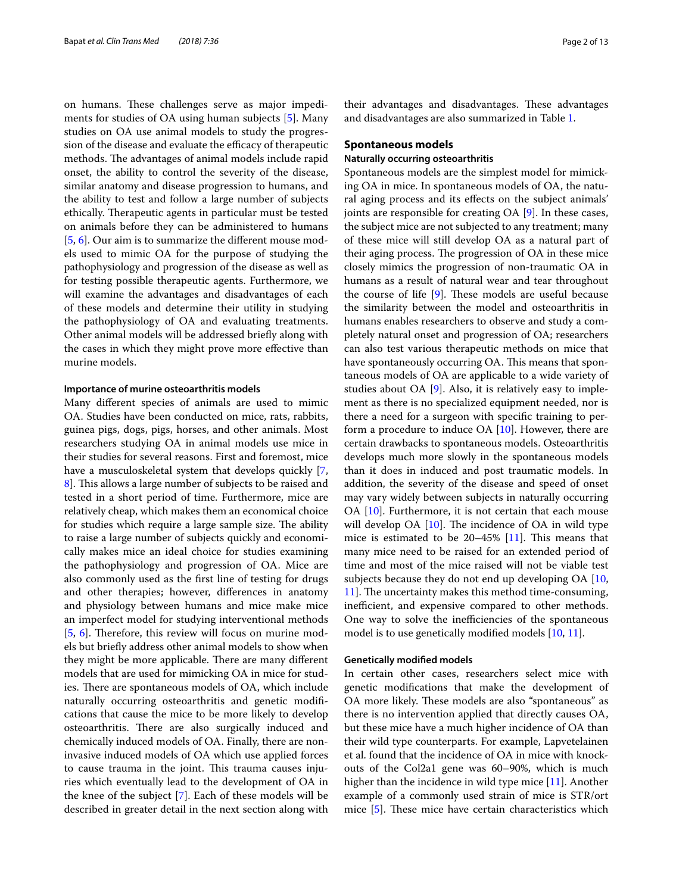on humans. These challenges serve as major impediments for studies of OA using human subjects [\[5\]](#page-11-3). Many studies on OA use animal models to study the progression of the disease and evaluate the efficacy of therapeutic methods. The advantages of animal models include rapid onset, the ability to control the severity of the disease, similar anatomy and disease progression to humans, and the ability to test and follow a large number of subjects ethically. Therapeutic agents in particular must be tested on animals before they can be administered to humans [[5,](#page-11-3) [6](#page-11-4)]. Our aim is to summarize the different mouse models used to mimic OA for the purpose of studying the pathophysiology and progression of the disease as well as for testing possible therapeutic agents. Furthermore, we will examine the advantages and disadvantages of each of these models and determine their utility in studying the pathophysiology of OA and evaluating treatments. Other animal models will be addressed briefy along with the cases in which they might prove more efective than murine models.

#### **Importance of murine osteoarthritis models**

Many diferent species of animals are used to mimic OA. Studies have been conducted on mice, rats, rabbits, guinea pigs, dogs, pigs, horses, and other animals. Most researchers studying OA in animal models use mice in their studies for several reasons. First and foremost, mice have a musculoskeletal system that develops quickly [\[7](#page-11-5), [8\]](#page-11-6). This allows a large number of subjects to be raised and tested in a short period of time. Furthermore, mice are relatively cheap, which makes them an economical choice for studies which require a large sample size. The ability to raise a large number of subjects quickly and economically makes mice an ideal choice for studies examining the pathophysiology and progression of OA. Mice are also commonly used as the frst line of testing for drugs and other therapies; however, diferences in anatomy and physiology between humans and mice make mice an imperfect model for studying interventional methods  $[5, 6]$  $[5, 6]$  $[5, 6]$  $[5, 6]$  $[5, 6]$ . Therefore, this review will focus on murine models but briefy address other animal models to show when they might be more applicable. There are many different models that are used for mimicking OA in mice for studies. There are spontaneous models of OA, which include naturally occurring osteoarthritis and genetic modifcations that cause the mice to be more likely to develop osteoarthritis. There are also surgically induced and chemically induced models of OA. Finally, there are noninvasive induced models of OA which use applied forces to cause trauma in the joint. This trauma causes injuries which eventually lead to the development of OA in the knee of the subject [\[7](#page-11-5)]. Each of these models will be described in greater detail in the next section along with

their advantages and disadvantages. These advantages and disadvantages are also summarized in Table [1.](#page-2-0)

## **Spontaneous models**

#### **Naturally occurring osteoarthritis**

Spontaneous models are the simplest model for mimicking OA in mice. In spontaneous models of OA, the natural aging process and its efects on the subject animals' joints are responsible for creating OA [[9\]](#page-11-7). In these cases, the subject mice are not subjected to any treatment; many of these mice will still develop OA as a natural part of their aging process. The progression of OA in these mice closely mimics the progression of non-traumatic OA in humans as a result of natural wear and tear throughout the course of life  $[9]$  $[9]$ . These models are useful because the similarity between the model and osteoarthritis in humans enables researchers to observe and study a completely natural onset and progression of OA; researchers can also test various therapeutic methods on mice that have spontaneously occurring OA. This means that spontaneous models of OA are applicable to a wide variety of studies about OA [[9\]](#page-11-7). Also, it is relatively easy to implement as there is no specialized equipment needed, nor is there a need for a surgeon with specifc training to perform a procedure to induce OA [\[10](#page-11-8)]. However, there are certain drawbacks to spontaneous models. Osteoarthritis develops much more slowly in the spontaneous models than it does in induced and post traumatic models. In addition, the severity of the disease and speed of onset may vary widely between subjects in naturally occurring OA [[10\]](#page-11-8). Furthermore, it is not certain that each mouse will develop OA  $[10]$  $[10]$ . The incidence of OA in wild type mice is estimated to be  $20-45\%$  [\[11](#page-11-9)]. This means that many mice need to be raised for an extended period of time and most of the mice raised will not be viable test subjects because they do not end up developing OA [[10](#page-11-8), [11\]](#page-11-9). The uncertainty makes this method time-consuming, inefficient, and expensive compared to other methods. One way to solve the inefficiencies of the spontaneous model is to use genetically modifed models [\[10,](#page-11-8) [11](#page-11-9)].

#### **Genetically modifed models**

In certain other cases, researchers select mice with genetic modifcations that make the development of OA more likely. These models are also "spontaneous" as there is no intervention applied that directly causes OA, but these mice have a much higher incidence of OA than their wild type counterparts. For example, Lapvetelainen et al. found that the incidence of OA in mice with knockouts of the Col2a1 gene was 60–90%, which is much higher than the incidence in wild type mice [[11](#page-11-9)]. Another example of a commonly used strain of mice is STR/ort mice  $[5]$  $[5]$ . These mice have certain characteristics which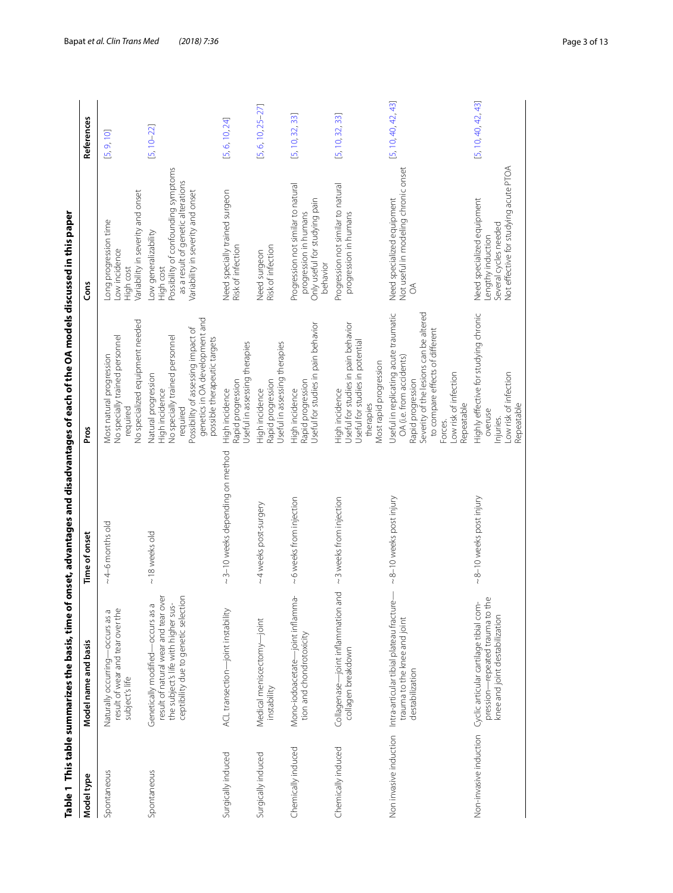|                        | Table 1 This table summarizes the basis, time                                                                                                           | of onset, advantages and disadvantages of each of the OA models discussed in this paper |                                                                                                                                                                                                                       |                                                                                                                                                     |                       |
|------------------------|---------------------------------------------------------------------------------------------------------------------------------------------------------|-----------------------------------------------------------------------------------------|-----------------------------------------------------------------------------------------------------------------------------------------------------------------------------------------------------------------------|-----------------------------------------------------------------------------------------------------------------------------------------------------|-----------------------|
| Model type             | Model name and basis                                                                                                                                    | Time of onset                                                                           | Pros                                                                                                                                                                                                                  | Cons                                                                                                                                                | References            |
| Spontaneous            | -occurs as a<br>result of wear and tear over the<br>Naturally occurring-<br>subject's life                                                              | $~4$ -6 months old                                                                      | No specialized equipment needed<br>No specially trained personnel<br>Most natural progression<br>required                                                                                                             | Variability in severity and onset<br>Long progression time<br>Low incidence<br>High cost                                                            | [5, 9, 10]            |
| Spontaneous            | ceptibility due to genetic selection<br>result of natural wear and tear over<br>the subject's life with higher sus-<br>Genetically modified-occurs as a | $\sim$ 18 weeks old                                                                     | genetics in OA development and<br>Possibility of assessing impact of<br>No specially trained personnel<br>possible therapeutic targets<br>Natural progression<br>High incidence<br>required                           | Possibility of confounding symptoms<br>as a result of genetic alterations<br>Variability in severity and onset<br>Low generalizability<br>High cost | $[5, 10 - 22]$        |
| Surgically induced     | ACL transection—joint instability                                                                                                                       | ~3-10 weeks depending on method                                                         | Useful in assessing therapies<br>Rapid progression<br>High incidence                                                                                                                                                  | Need specially trained surgeon<br>Risk of infection                                                                                                 | [5, 6, 10, 24]        |
| Surgically induced     | Medical meniscectomy-joint<br>instability                                                                                                               | ~4 weeks post-surgery                                                                   | Useful in assessing therapies<br>Rapid progression<br>High incidence                                                                                                                                                  | Risk of infection<br>Need surgeon                                                                                                                   | $[5, 6, 10, 25 - 27]$ |
| Chemically induced     | Mono-iodoacetate-joint inflamma-<br>tion and chondrotoxicity                                                                                            | ~6 weeks from injection                                                                 | Useful for studies in pain behavior<br>Rapid progression<br>High incidence                                                                                                                                            | Progression not similar to natural<br>Only useful for studying pain<br>progression in humans<br>behavior                                            | [5, 10, 32, 33]       |
| Chemically induced     | l and<br>Collagenase—joint inflammation<br>collagen breakdown                                                                                           | ~3 weeks from injection                                                                 | Useful for studies in pain behavior<br>Useful for studies in potential<br>Most rapid progression<br>High incidence<br>therapies                                                                                       | Progression not similar to natural<br>progression in humans                                                                                         | [5, 10, 32, 33]       |
| Non invasive induction | Intra-articular tibial plateau fracture-<br>trauma to the knee and joint<br>destabilization                                                             | $\sim$ 8-10 weeks post injury                                                           | Useful in replicating acute traumatic<br>Severity of the lesions can be altered<br>to compare effects of different<br>OA (i.e. from accidents)<br>Low risk of infection<br>Rapid progression<br>Repeatable<br>Forces. | Not useful in modeling chronic onset<br>Need specialized equipment<br>$\delta$                                                                      | [5, 10, 40, 42, 43]   |
| Non-invasive induction | pression-repeated trauma to the<br>Cyclic articular cartilage tibial com-<br>knee and joint destabilization                                             | $\sim$ 8-10 weeks post injury                                                           | Highly effective for studying chronic<br>Low risk of infection<br>Repeatable<br>overuse<br>Injuries.                                                                                                                  | Several cycles needed<br>Not effective for studying acute PTOA<br>Need specialized equipment<br>Lengthy induction                                   | [5, 10, 40, 42, 43]   |

<span id="page-2-0"></span>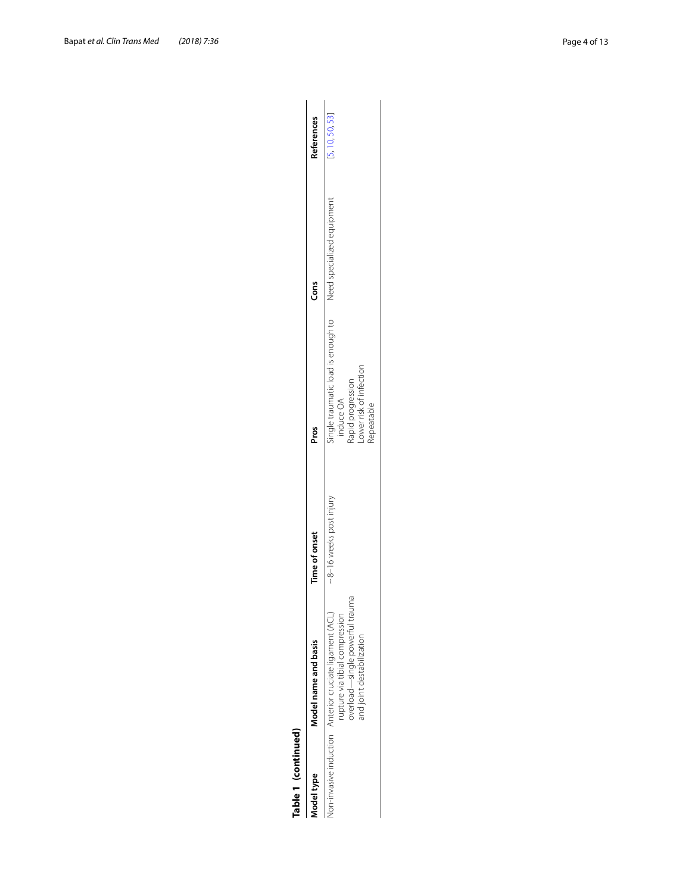| Table 1 (continued) |                                                                                                                                                          |                               |                                                                                                                                       |      |                 |
|---------------------|----------------------------------------------------------------------------------------------------------------------------------------------------------|-------------------------------|---------------------------------------------------------------------------------------------------------------------------------------|------|-----------------|
| lodel type          | Model name and basis                                                                                                                                     | Time of onset                 | Pros                                                                                                                                  | Cons | References      |
|                     | overload-single powerful trauma<br>Non-invasive induction Anterior cruciate ligament (ACL)<br>upture via tibial compression<br>and joint destabilization | $\sim$ 8-16 weeks post injury | ingle traumatic load is enough to Need specialized equipment<br>ower risk of infection<br>apid progression<br>induce OA<br>Repeatable |      | [5, 10, 50, 53] |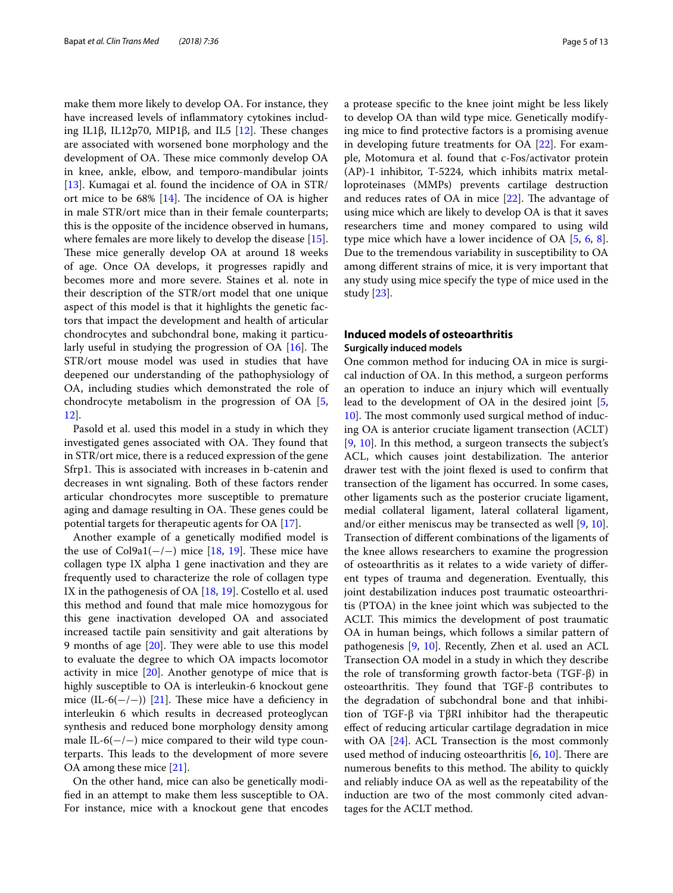make them more likely to develop OA. For instance, they have increased levels of infammatory cytokines including IL1β, IL12p70, MIP1β, and IL5  $[12]$  $[12]$ . These changes are associated with worsened bone morphology and the development of OA. These mice commonly develop OA in knee, ankle, elbow, and temporo-mandibular joints [[13\]](#page-11-20). Kumagai et al. found the incidence of OA in STR/ ort mice to be  $68\%$  [\[14](#page-11-21)]. The incidence of OA is higher in male STR/ort mice than in their female counterparts; this is the opposite of the incidence observed in humans, where females are more likely to develop the disease [\[15](#page-11-22)]. These mice generally develop OA at around 18 weeks of age. Once OA develops, it progresses rapidly and becomes more and more severe. Staines et al. note in their description of the STR/ort model that one unique aspect of this model is that it highlights the genetic factors that impact the development and health of articular chondrocytes and subchondral bone, making it particularly useful in studying the progression of  $OA$   $[16]$  $[16]$ . The STR/ort mouse model was used in studies that have deepened our understanding of the pathophysiology of OA, including studies which demonstrated the role of chondrocyte metabolism in the progression of OA [\[5](#page-11-3), [12\]](#page-11-19).

Pasold et al. used this model in a study in which they investigated genes associated with OA. They found that in STR/ort mice, there is a reduced expression of the gene Sfrp1. This is associated with increases in b-catenin and decreases in wnt signaling. Both of these factors render articular chondrocytes more susceptible to premature aging and damage resulting in OA. These genes could be potential targets for therapeutic agents for OA [\[17](#page-11-24)].

Another example of a genetically modifed model is the use of Col9a1( $-/-$ ) mice [[18](#page-11-25), [19](#page-11-26)]. These mice have collagen type IX alpha 1 gene inactivation and they are frequently used to characterize the role of collagen type IX in the pathogenesis of OA [\[18](#page-11-25), [19\]](#page-11-26). Costello et al. used this method and found that male mice homozygous for this gene inactivation developed OA and associated increased tactile pain sensitivity and gait alterations by 9 months of age  $[20]$  $[20]$ . They were able to use this model to evaluate the degree to which OA impacts locomotor activity in mice  $[20]$  $[20]$ . Another genotype of mice that is highly susceptible to OA is interleukin-6 knockout gene mice (IL-6(-/-)) [\[21](#page-11-28)]. These mice have a deficiency in interleukin 6 which results in decreased proteoglycan synthesis and reduced bone morphology density among male IL-6( $-/-$ ) mice compared to their wild type counterparts. This leads to the development of more severe OA among these mice [[21\]](#page-11-28).

On the other hand, mice can also be genetically modifed in an attempt to make them less susceptible to OA. For instance, mice with a knockout gene that encodes a protease specifc to the knee joint might be less likely to develop OA than wild type mice. Genetically modifying mice to fnd protective factors is a promising avenue in developing future treatments for OA [\[22\]](#page-11-10). For example, Motomura et al. found that c-Fos/activator protein (AP)-1 inhibitor, T-5224, which inhibits matrix metalloproteinases (MMPs) prevents cartilage destruction and reduces rates of OA in mice  $[22]$  $[22]$ . The advantage of using mice which are likely to develop OA is that it saves researchers time and money compared to using wild type mice which have a lower incidence of OA [\[5](#page-11-3), [6,](#page-11-4) [8](#page-11-6)]. Due to the tremendous variability in susceptibility to OA among diferent strains of mice, it is very important that any study using mice specify the type of mice used in the study [\[23](#page-11-29)].

## **Induced models of osteoarthritis Surgically induced models**

# One common method for inducing OA in mice is surgical induction of OA. In this method, a surgeon performs an operation to induce an injury which will eventually lead to the development of OA in the desired joint [\[5](#page-11-3), [10\]](#page-11-8). The most commonly used surgical method of inducing OA is anterior cruciate ligament transection (ACLT) [[9,](#page-11-7) [10](#page-11-8)]. In this method, a surgeon transects the subject's ACL, which causes joint destabilization. The anterior drawer test with the joint fexed is used to confrm that transection of the ligament has occurred. In some cases, other ligaments such as the posterior cruciate ligament, medial collateral ligament, lateral collateral ligament, and/or either meniscus may be transected as well [[9](#page-11-7), [10](#page-11-8)]. Transection of diferent combinations of the ligaments of the knee allows researchers to examine the progression of osteoarthritis as it relates to a wide variety of diferent types of trauma and degeneration. Eventually, this joint destabilization induces post traumatic osteoarthritis (PTOA) in the knee joint which was subjected to the ACLT. This mimics the development of post traumatic OA in human beings, which follows a similar pattern of pathogenesis [\[9](#page-11-7), [10\]](#page-11-8). Recently, Zhen et al. used an ACL Transection OA model in a study in which they describe the role of transforming growth factor-beta (TGF-β) in osteoarthritis. They found that  $TGF-\beta$  contributes to the degradation of subchondral bone and that inhibition of TGF-β via TβRI inhibitor had the therapeutic efect of reducing articular cartilage degradation in mice with OA [\[24](#page-11-11)]. ACL Transection is the most commonly used method of inducing osteoarthritis  $[6, 10]$  $[6, 10]$  $[6, 10]$  $[6, 10]$ . There are numerous benefits to this method. The ability to quickly and reliably induce OA as well as the repeatability of the induction are two of the most commonly cited advantages for the ACLT method.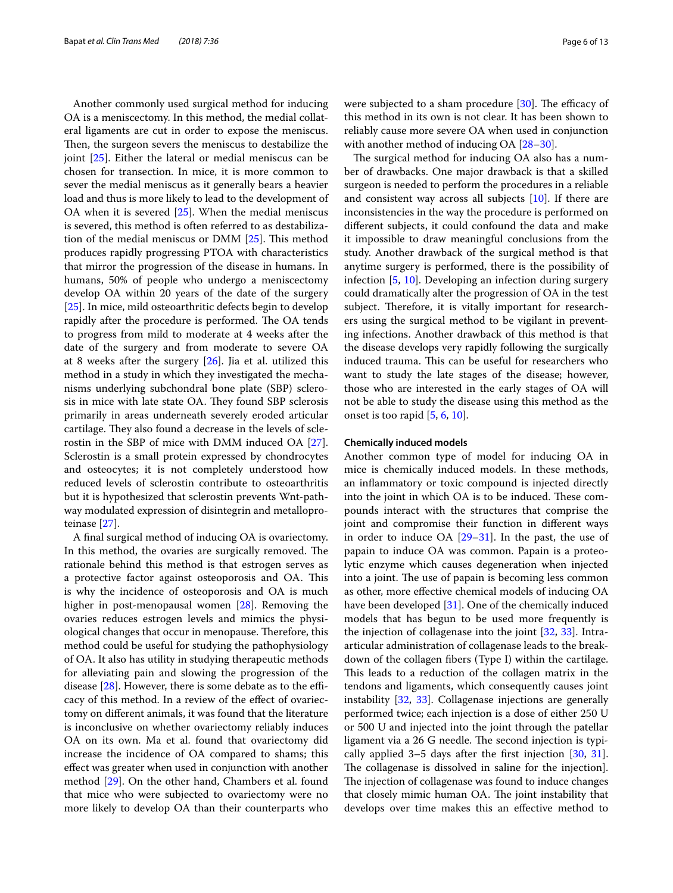Another commonly used surgical method for inducing OA is a meniscectomy. In this method, the medial collateral ligaments are cut in order to expose the meniscus. Then, the surgeon severs the meniscus to destabilize the joint [[25](#page-11-12)]. Either the lateral or medial meniscus can be chosen for transection. In mice, it is more common to sever the medial meniscus as it generally bears a heavier load and thus is more likely to lead to the development of OA when it is severed [\[25\]](#page-11-12). When the medial meniscus is severed, this method is often referred to as destabilization of the medial meniscus or  $DMM$   $[25]$  $[25]$ . This method produces rapidly progressing PTOA with characteristics that mirror the progression of the disease in humans. In humans, 50% of people who undergo a meniscectomy develop OA within 20 years of the date of the surgery [[25\]](#page-11-12). In mice, mild osteoarthritic defects begin to develop rapidly after the procedure is performed. The OA tends to progress from mild to moderate at 4 weeks after the date of the surgery and from moderate to severe OA at 8 weeks after the surgery  $[26]$  $[26]$ . Jia et al. utilized this method in a study in which they investigated the mechanisms underlying subchondral bone plate (SBP) sclerosis in mice with late state OA. They found SBP sclerosis primarily in areas underneath severely eroded articular cartilage. They also found a decrease in the levels of sclerostin in the SBP of mice with DMM induced OA [\[27](#page-11-13)]. Sclerostin is a small protein expressed by chondrocytes and osteocytes; it is not completely understood how reduced levels of sclerostin contribute to osteoarthritis but it is hypothesized that sclerostin prevents Wnt-pathway modulated expression of disintegrin and metalloproteinase [[27\]](#page-11-13).

A fnal surgical method of inducing OA is ovariectomy. In this method, the ovaries are surgically removed. The rationale behind this method is that estrogen serves as a protective factor against osteoporosis and OA. This is why the incidence of osteoporosis and OA is much higher in post-menopausal women [\[28\]](#page-11-31). Removing the ovaries reduces estrogen levels and mimics the physiological changes that occur in menopause. Therefore, this method could be useful for studying the pathophysiology of OA. It also has utility in studying therapeutic methods for alleviating pain and slowing the progression of the disease  $[28]$  $[28]$ . However, there is some debate as to the efficacy of this method. In a review of the efect of ovariectomy on diferent animals, it was found that the literature is inconclusive on whether ovariectomy reliably induces OA on its own. Ma et al. found that ovariectomy did increase the incidence of OA compared to shams; this efect was greater when used in conjunction with another method [\[29\]](#page-11-32). On the other hand, Chambers et al. found that mice who were subjected to ovariectomy were no more likely to develop OA than their counterparts who were subjected to a sham procedure  $[30]$  $[30]$ . The efficacy of this method in its own is not clear. It has been shown to reliably cause more severe OA when used in conjunction with another method of inducing OA [\[28](#page-11-31)[–30\]](#page-11-33).

The surgical method for inducing OA also has a number of drawbacks. One major drawback is that a skilled surgeon is needed to perform the procedures in a reliable and consistent way across all subjects [[10\]](#page-11-8). If there are inconsistencies in the way the procedure is performed on diferent subjects, it could confound the data and make it impossible to draw meaningful conclusions from the study. Another drawback of the surgical method is that anytime surgery is performed, there is the possibility of infection [\[5](#page-11-3), [10](#page-11-8)]. Developing an infection during surgery could dramatically alter the progression of OA in the test subject. Therefore, it is vitally important for researchers using the surgical method to be vigilant in preventing infections. Another drawback of this method is that the disease develops very rapidly following the surgically induced trauma. This can be useful for researchers who want to study the late stages of the disease; however, those who are interested in the early stages of OA will not be able to study the disease using this method as the onset is too rapid [[5,](#page-11-3) [6](#page-11-4), [10\]](#page-11-8).

#### **Chemically induced models**

Another common type of model for inducing OA in mice is chemically induced models. In these methods, an infammatory or toxic compound is injected directly into the joint in which OA is to be induced. These compounds interact with the structures that comprise the joint and compromise their function in diferent ways in order to induce OA  $[29-31]$  $[29-31]$  $[29-31]$ . In the past, the use of papain to induce OA was common. Papain is a proteolytic enzyme which causes degeneration when injected into a joint. The use of papain is becoming less common as other, more efective chemical models of inducing OA have been developed [[31](#page-11-34)]. One of the chemically induced models that has begun to be used more frequently is the injection of collagenase into the joint [\[32](#page-11-14), [33](#page-11-15)]. Intraarticular administration of collagenase leads to the breakdown of the collagen fbers (Type I) within the cartilage. This leads to a reduction of the collagen matrix in the tendons and ligaments, which consequently causes joint instability [\[32](#page-11-14), [33](#page-11-15)]. Collagenase injections are generally performed twice; each injection is a dose of either 250 U or 500 U and injected into the joint through the patellar ligament via a 26 G needle. The second injection is typically applied  $3-5$  days after the first injection [\[30,](#page-11-33) [31](#page-11-34)]. The collagenase is dissolved in saline for the injection]. The injection of collagenase was found to induce changes that closely mimic human OA. The joint instability that develops over time makes this an efective method to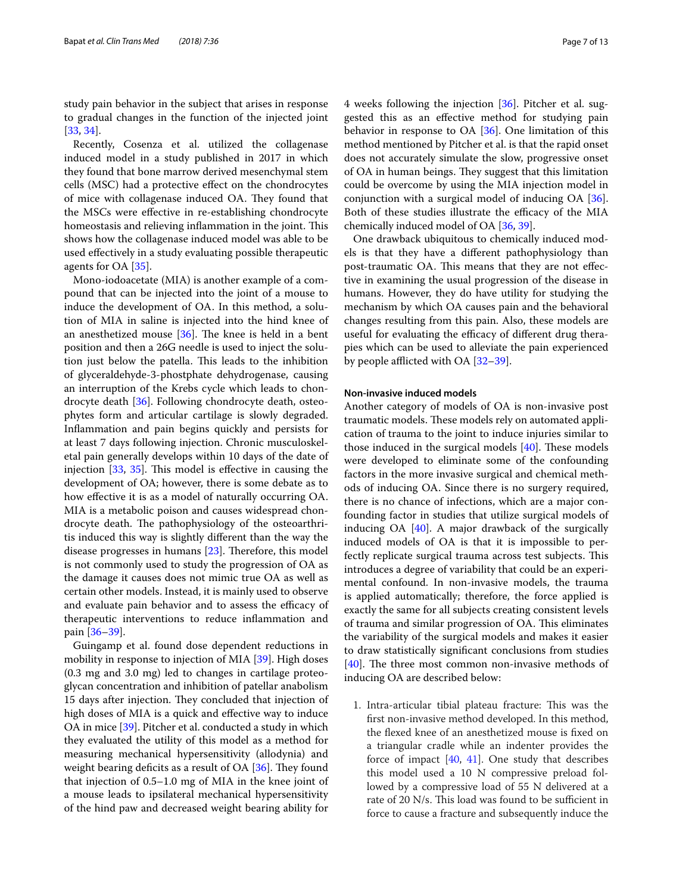study pain behavior in the subject that arises in response to gradual changes in the function of the injected joint [[33,](#page-11-15) [34](#page-11-35)].

Recently, Cosenza et al. utilized the collagenase induced model in a study published in 2017 in which they found that bone marrow derived mesenchymal stem cells (MSC) had a protective efect on the chondrocytes of mice with collagenase induced OA. They found that the MSCs were efective in re-establishing chondrocyte homeostasis and relieving inflammation in the joint. This shows how the collagenase induced model was able to be used efectively in a study evaluating possible therapeutic agents for OA [\[35](#page-11-36)].

Mono-iodoacetate (MIA) is another example of a compound that can be injected into the joint of a mouse to induce the development of OA. In this method, a solution of MIA in saline is injected into the hind knee of an anesthetized mouse  $[36]$  $[36]$  $[36]$ . The knee is held in a bent position and then a 26G needle is used to inject the solution just below the patella. This leads to the inhibition of glyceraldehyde-3-phostphate dehydrogenase, causing an interruption of the Krebs cycle which leads to chondrocyte death [\[36](#page-11-37)]. Following chondrocyte death, osteophytes form and articular cartilage is slowly degraded. Infammation and pain begins quickly and persists for at least 7 days following injection. Chronic musculoskeletal pain generally develops within 10 days of the date of injection  $[33, 35]$  $[33, 35]$  $[33, 35]$ . This model is effective in causing the development of OA; however, there is some debate as to how efective it is as a model of naturally occurring OA. MIA is a metabolic poison and causes widespread chondrocyte death. The pathophysiology of the osteoarthritis induced this way is slightly diferent than the way the disease progresses in humans  $[23]$ . Therefore, this model is not commonly used to study the progression of OA as the damage it causes does not mimic true OA as well as certain other models. Instead, it is mainly used to observe and evaluate pain behavior and to assess the efficacy of therapeutic interventions to reduce infammation and pain [\[36–](#page-11-37)[39\]](#page-11-38).

Guingamp et al. found dose dependent reductions in mobility in response to injection of MIA [\[39](#page-11-38)]. High doses (0.3 mg and 3.0 mg) led to changes in cartilage proteoglycan concentration and inhibition of patellar anabolism 15 days after injection. They concluded that injection of high doses of MIA is a quick and efective way to induce OA in mice [[39\]](#page-11-38). Pitcher et al. conducted a study in which they evaluated the utility of this model as a method for measuring mechanical hypersensitivity (allodynia) and weight bearing deficits as a result of OA  $[36]$ . They found that injection of 0.5–1.0 mg of MIA in the knee joint of a mouse leads to ipsilateral mechanical hypersensitivity of the hind paw and decreased weight bearing ability for 4 weeks following the injection [\[36\]](#page-11-37). Pitcher et al. suggested this as an efective method for studying pain behavior in response to OA [\[36](#page-11-37)]. One limitation of this method mentioned by Pitcher et al. is that the rapid onset does not accurately simulate the slow, progressive onset of OA in human beings. They suggest that this limitation could be overcome by using the MIA injection model in conjunction with a surgical model of inducing OA [\[36](#page-11-37)]. Both of these studies illustrate the efficacy of the MIA chemically induced model of OA [\[36](#page-11-37), [39\]](#page-11-38).

One drawback ubiquitous to chemically induced models is that they have a diferent pathophysiology than post-traumatic OA. This means that they are not effective in examining the usual progression of the disease in humans. However, they do have utility for studying the mechanism by which OA causes pain and the behavioral changes resulting from this pain. Also, these models are useful for evaluating the efficacy of different drug therapies which can be used to alleviate the pain experienced by people afflicted with OA [\[32–](#page-11-14)[39\]](#page-11-38).

## **Non‑invasive induced models**

Another category of models of OA is non-invasive post traumatic models. These models rely on automated application of trauma to the joint to induce injuries similar to those induced in the surgical models  $[40]$  $[40]$ . These models were developed to eliminate some of the confounding factors in the more invasive surgical and chemical methods of inducing OA. Since there is no surgery required, there is no chance of infections, which are a major confounding factor in studies that utilize surgical models of inducing OA [\[40\]](#page-11-16). A major drawback of the surgically induced models of OA is that it is impossible to perfectly replicate surgical trauma across test subjects. This introduces a degree of variability that could be an experimental confound. In non-invasive models, the trauma is applied automatically; therefore, the force applied is exactly the same for all subjects creating consistent levels of trauma and similar progression of OA. This eliminates the variability of the surgical models and makes it easier to draw statistically signifcant conclusions from studies  $[40]$  $[40]$ . The three most common non-invasive methods of inducing OA are described below:

1. Intra-articular tibial plateau fracture: This was the frst non-invasive method developed. In this method, the flexed knee of an anesthetized mouse is fixed on a triangular cradle while an indenter provides the force of impact  $[40, 41]$  $[40, 41]$  $[40, 41]$ . One study that describes this model used a 10 N compressive preload followed by a compressive load of 55 N delivered at a rate of 20  $N/s$ . This load was found to be sufficient in force to cause a fracture and subsequently induce the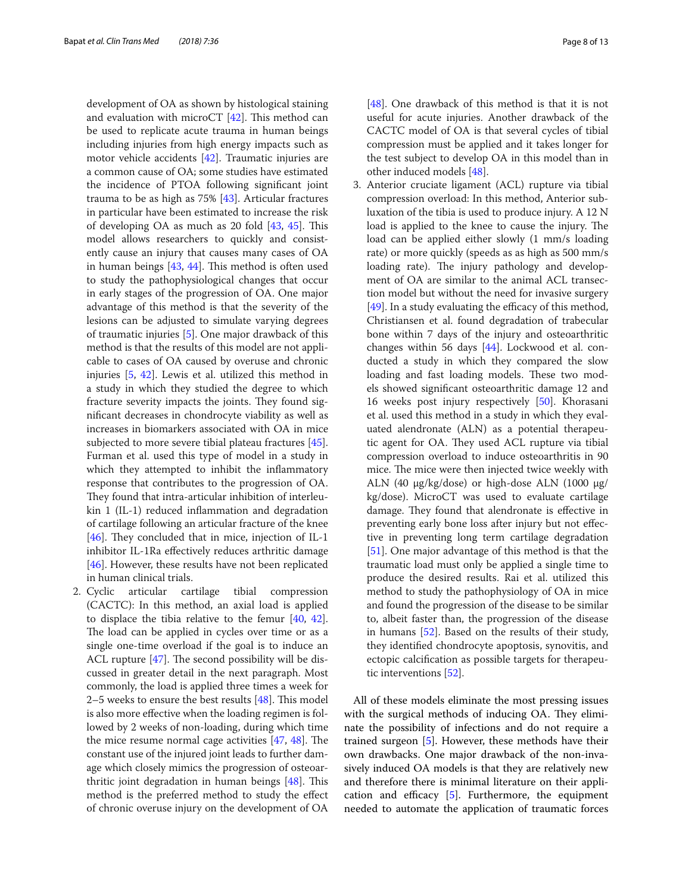development of OA as shown by histological staining and evaluation with microCT  $[42]$  $[42]$  $[42]$ . This method can be used to replicate acute trauma in human beings including injuries from high energy impacts such as motor vehicle accidents [\[42\]](#page-11-17). Traumatic injuries are a common cause of OA; some studies have estimated the incidence of PTOA following signifcant joint trauma to be as high as 75% [[43](#page-11-18)]. Articular fractures in particular have been estimated to increase the risk of developing OA as much as 20 fold  $[43, 45]$  $[43, 45]$  $[43, 45]$ . This model allows researchers to quickly and consistently cause an injury that causes many cases of OA in human beings  $[43, 44]$  $[43, 44]$  $[43, 44]$ . This method is often used to study the pathophysiological changes that occur in early stages of the progression of OA. One major advantage of this method is that the severity of the lesions can be adjusted to simulate varying degrees of traumatic injuries [[5\]](#page-11-3). One major drawback of this method is that the results of this model are not applicable to cases of OA caused by overuse and chronic injuries [[5](#page-11-3), [42](#page-11-17)]. Lewis et al. utilized this method in a study in which they studied the degree to which fracture severity impacts the joints. They found signifcant decreases in chondrocyte viability as well as increases in biomarkers associated with OA in mice subjected to more severe tibial plateau fractures [[45](#page-11-40)]. Furman et al. used this type of model in a study in which they attempted to inhibit the inflammatory response that contributes to the progression of OA. They found that intra-articular inhibition of interleukin 1 (IL-1) reduced infammation and degradation of cartilage following an articular fracture of the knee [[46\]](#page-12-2). They concluded that in mice, injection of IL-1 inhibitor IL-1Ra efectively reduces arthritic damage [[46\]](#page-12-2). However, these results have not been replicated in human clinical trials.

2. Cyclic articular cartilage tibial compression (CACTC): In this method, an axial load is applied to displace the tibia relative to the femur [\[40](#page-11-16), [42](#page-11-17)]. The load can be applied in cycles over time or as a single one-time overload if the goal is to induce an ACL rupture  $[47]$ . The second possibility will be discussed in greater detail in the next paragraph. Most commonly, the load is applied three times a week for 2–5 weeks to ensure the best results  $[48]$ . This model is also more efective when the loading regimen is followed by 2 weeks of non-loading, during which time the mice resume normal cage activities  $[47, 48]$  $[47, 48]$  $[47, 48]$ . The constant use of the injured joint leads to further damage which closely mimics the progression of osteoarthritic joint degradation in human beings  $[48]$  $[48]$ . This method is the preferred method to study the efect of chronic overuse injury on the development of OA

[[48\]](#page-12-4). One drawback of this method is that it is not useful for acute injuries. Another drawback of the CACTC model of OA is that several cycles of tibial compression must be applied and it takes longer for the test subject to develop OA in this model than in other induced models [[48](#page-12-4)].

3. Anterior cruciate ligament (ACL) rupture via tibial compression overload: In this method, Anterior subluxation of the tibia is used to produce injury. A 12 N load is applied to the knee to cause the injury. The load can be applied either slowly (1 mm/s loading rate) or more quickly (speeds as as high as 500 mm/s loading rate). The injury pathology and development of OA are similar to the animal ACL transection model but without the need for invasive surgery  $[49]$  $[49]$ . In a study evaluating the efficacy of this method, Christiansen et al. found degradation of trabecular bone within 7 days of the injury and osteoarthritic changes within 56 days [[44](#page-11-41)]. Lockwood et al. conducted a study in which they compared the slow loading and fast loading models. These two models showed signifcant osteoarthritic damage 12 and 16 weeks post injury respectively [\[50\]](#page-12-0). Khorasani et al. used this method in a study in which they evaluated alendronate (ALN) as a potential therapeutic agent for OA. They used ACL rupture via tibial compression overload to induce osteoarthritis in 90 mice. The mice were then injected twice weekly with ALN (40 μg/kg/dose) or high-dose ALN (1000 μg/ kg/dose). MicroCT was used to evaluate cartilage damage. They found that alendronate is effective in preventing early bone loss after injury but not efective in preventing long term cartilage degradation [[51\]](#page-12-6). One major advantage of this method is that the traumatic load must only be applied a single time to produce the desired results. Rai et al. utilized this method to study the pathophysiology of OA in mice and found the progression of the disease to be similar to, albeit faster than, the progression of the disease in humans [[52\]](#page-12-7). Based on the results of their study, they identifed chondrocyte apoptosis, synovitis, and ectopic calcifcation as possible targets for therapeutic interventions [\[52\]](#page-12-7).

All of these models eliminate the most pressing issues with the surgical methods of inducing OA. They eliminate the possibility of infections and do not require a trained surgeon [[5\]](#page-11-3). However, these methods have their own drawbacks. One major drawback of the non-invasively induced OA models is that they are relatively new and therefore there is minimal literature on their application and efficacy  $[5]$  $[5]$ . Furthermore, the equipment needed to automate the application of traumatic forces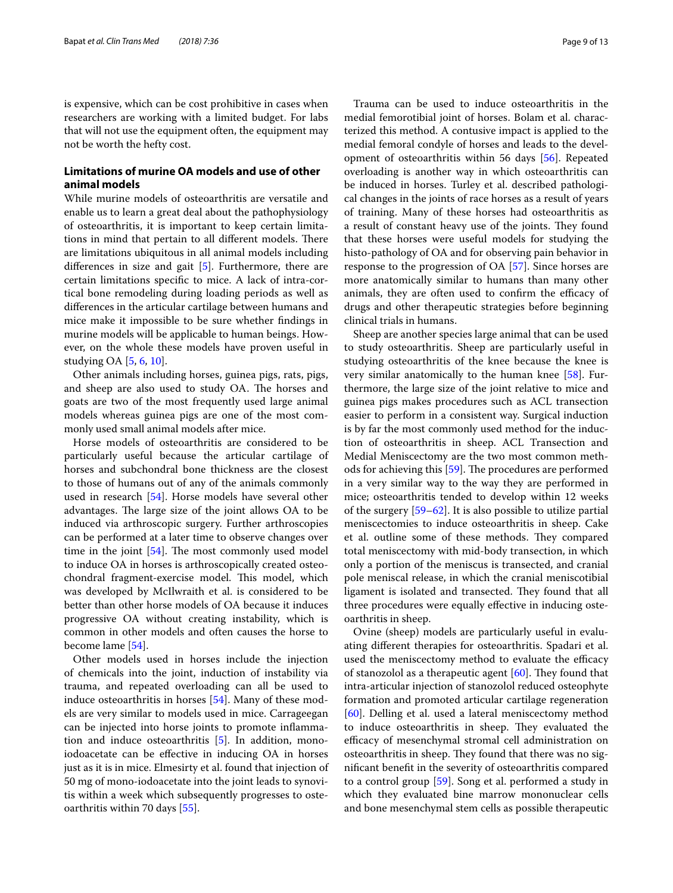is expensive, which can be cost prohibitive in cases when researchers are working with a limited budget. For labs that will not use the equipment often, the equipment may not be worth the hefty cost.

## **Limitations of murine OA models and use of other animal models**

While murine models of osteoarthritis are versatile and enable us to learn a great deal about the pathophysiology of osteoarthritis, it is important to keep certain limitations in mind that pertain to all different models. There are limitations ubiquitous in all animal models including diferences in size and gait [\[5\]](#page-11-3). Furthermore, there are certain limitations specifc to mice. A lack of intra-cortical bone remodeling during loading periods as well as diferences in the articular cartilage between humans and mice make it impossible to be sure whether fndings in murine models will be applicable to human beings. However, on the whole these models have proven useful in studying OA [[5,](#page-11-3) [6](#page-11-4), [10\]](#page-11-8).

Other animals including horses, guinea pigs, rats, pigs, and sheep are also used to study OA. The horses and goats are two of the most frequently used large animal models whereas guinea pigs are one of the most commonly used small animal models after mice.

Horse models of osteoarthritis are considered to be particularly useful because the articular cartilage of horses and subchondral bone thickness are the closest to those of humans out of any of the animals commonly used in research [\[54\]](#page-12-8). Horse models have several other advantages. The large size of the joint allows OA to be induced via arthroscopic surgery. Further arthroscopies can be performed at a later time to observe changes over time in the joint  $[54]$  $[54]$ . The most commonly used model to induce OA in horses is arthroscopically created osteochondral fragment-exercise model. This model, which was developed by McIlwraith et al. is considered to be better than other horse models of OA because it induces progressive OA without creating instability, which is common in other models and often causes the horse to become lame [\[54](#page-12-8)].

Other models used in horses include the injection of chemicals into the joint, induction of instability via trauma, and repeated overloading can all be used to induce osteoarthritis in horses [[54](#page-12-8)]. Many of these models are very similar to models used in mice. Carrageegan can be injected into horse joints to promote infammation and induce osteoarthritis [\[5](#page-11-3)]. In addition, monoiodoacetate can be efective in inducing OA in horses just as it is in mice. Elmesirty et al. found that injection of 50 mg of mono-iodoacetate into the joint leads to synovitis within a week which subsequently progresses to osteoarthritis within 70 days [[55](#page-12-9)].

Trauma can be used to induce osteoarthritis in the medial femorotibial joint of horses. Bolam et al. characterized this method. A contusive impact is applied to the medial femoral condyle of horses and leads to the development of osteoarthritis within 56 days [\[56](#page-12-10)]. Repeated overloading is another way in which osteoarthritis can be induced in horses. Turley et al. described pathological changes in the joints of race horses as a result of years of training. Many of these horses had osteoarthritis as a result of constant heavy use of the joints. They found that these horses were useful models for studying the histo-pathology of OA and for observing pain behavior in response to the progression of OA [[57](#page-12-11)]. Since horses are more anatomically similar to humans than many other animals, they are often used to confirm the efficacy of drugs and other therapeutic strategies before beginning clinical trials in humans.

Sheep are another species large animal that can be used to study osteoarthritis. Sheep are particularly useful in studying osteoarthritis of the knee because the knee is very similar anatomically to the human knee [\[58](#page-12-12)]. Furthermore, the large size of the joint relative to mice and guinea pigs makes procedures such as ACL transection easier to perform in a consistent way. Surgical induction is by far the most commonly used method for the induction of osteoarthritis in sheep. ACL Transection and Medial Meniscectomy are the two most common methods for achieving this  $[59]$  $[59]$ . The procedures are performed in a very similar way to the way they are performed in mice; osteoarthritis tended to develop within 12 weeks of the surgery [\[59](#page-12-13)[–62\]](#page-12-14). It is also possible to utilize partial meniscectomies to induce osteoarthritis in sheep. Cake et al. outline some of these methods. They compared total meniscectomy with mid-body transection, in which only a portion of the meniscus is transected, and cranial pole meniscal release, in which the cranial meniscotibial ligament is isolated and transected. They found that all three procedures were equally efective in inducing osteoarthritis in sheep.

Ovine (sheep) models are particularly useful in evaluating diferent therapies for osteoarthritis. Spadari et al. used the meniscectomy method to evaluate the efficacy of stanozolol as a therapeutic agent  $[60]$  $[60]$ . They found that intra-articular injection of stanozolol reduced osteophyte formation and promoted articular cartilage regeneration [[60\]](#page-12-15). Delling et al. used a lateral meniscectomy method to induce osteoarthritis in sheep. They evaluated the efficacy of mesenchymal stromal cell administration on osteoarthritis in sheep. They found that there was no signifcant beneft in the severity of osteoarthritis compared to a control group [[59](#page-12-13)]. Song et al. performed a study in which they evaluated bine marrow mononuclear cells and bone mesenchymal stem cells as possible therapeutic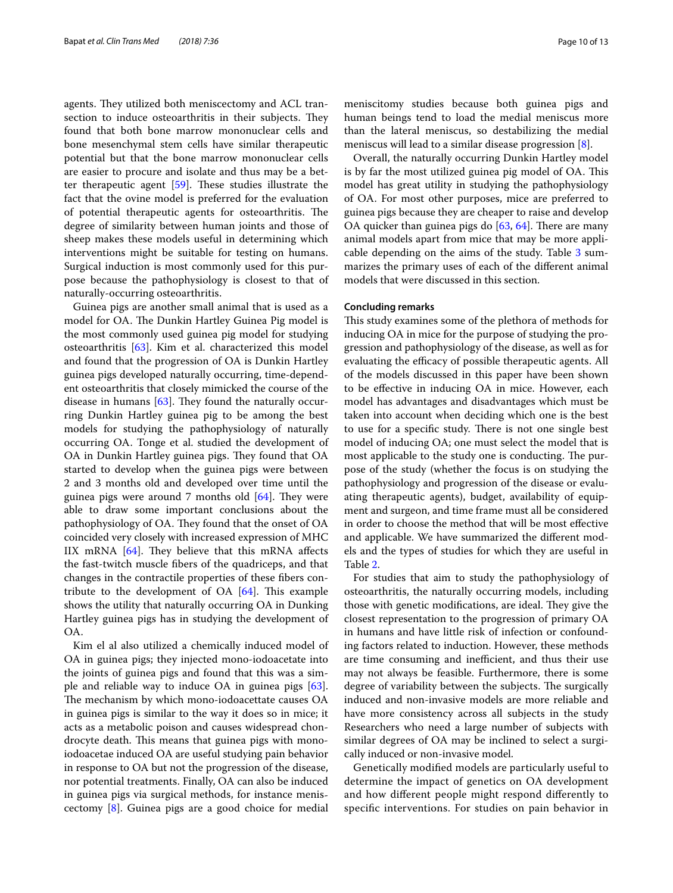agents. They utilized both meniscectomy and ACL transection to induce osteoarthritis in their subjects. They found that both bone marrow mononuclear cells and bone mesenchymal stem cells have similar therapeutic potential but that the bone marrow mononuclear cells are easier to procure and isolate and thus may be a better therapeutic agent  $[59]$  $[59]$ . These studies illustrate the fact that the ovine model is preferred for the evaluation of potential therapeutic agents for osteoarthritis. The degree of similarity between human joints and those of sheep makes these models useful in determining which interventions might be suitable for testing on humans. Surgical induction is most commonly used for this purpose because the pathophysiology is closest to that of naturally-occurring osteoarthritis.

Guinea pigs are another small animal that is used as a model for OA. The Dunkin Hartley Guinea Pig model is the most commonly used guinea pig model for studying osteoarthritis [\[63](#page-12-16)]. Kim et al. characterized this model and found that the progression of OA is Dunkin Hartley guinea pigs developed naturally occurring, time-dependent osteoarthritis that closely mimicked the course of the disease in humans  $[63]$  $[63]$ . They found the naturally occurring Dunkin Hartley guinea pig to be among the best models for studying the pathophysiology of naturally occurring OA. Tonge et al. studied the development of OA in Dunkin Hartley guinea pigs. They found that OA started to develop when the guinea pigs were between 2 and 3 months old and developed over time until the guinea pigs were around 7 months old  $[64]$ . They were able to draw some important conclusions about the pathophysiology of OA. They found that the onset of OA coincided very closely with increased expression of MHC IIX mRNA  $[64]$  $[64]$ . They believe that this mRNA affects the fast-twitch muscle fbers of the quadriceps, and that changes in the contractile properties of these fbers contribute to the development of  $OA$   $[64]$ . This example shows the utility that naturally occurring OA in Dunking Hartley guinea pigs has in studying the development of OA.

Kim el al also utilized a chemically induced model of OA in guinea pigs; they injected mono-iodoacetate into the joints of guinea pigs and found that this was a simple and reliable way to induce  $OA$  in guinea pigs  $[63]$  $[63]$ . The mechanism by which mono-iodoacettate causes OA in guinea pigs is similar to the way it does so in mice; it acts as a metabolic poison and causes widespread chondrocyte death. This means that guinea pigs with monoiodoacetae induced OA are useful studying pain behavior in response to OA but not the progression of the disease, nor potential treatments. Finally, OA can also be induced in guinea pigs via surgical methods, for instance meniscectomy [\[8](#page-11-6)]. Guinea pigs are a good choice for medial

meniscitomy studies because both guinea pigs and human beings tend to load the medial meniscus more than the lateral meniscus, so destabilizing the medial meniscus will lead to a similar disease progression [\[8](#page-11-6)].

Overall, the naturally occurring Dunkin Hartley model is by far the most utilized guinea pig model of OA. This model has great utility in studying the pathophysiology of OA. For most other purposes, mice are preferred to guinea pigs because they are cheaper to raise and develop OA quicker than guinea pigs do  $[63, 64]$  $[63, 64]$  $[63, 64]$  $[63, 64]$  $[63, 64]$ . There are many animal models apart from mice that may be more applicable depending on the aims of the study. Table [3](#page-10-1) summarizes the primary uses of each of the diferent animal models that were discussed in this section.

## **Concluding remarks**

This study examines some of the plethora of methods for inducing OA in mice for the purpose of studying the progression and pathophysiology of the disease, as well as for evaluating the efficacy of possible therapeutic agents. All of the models discussed in this paper have been shown to be efective in inducing OA in mice. However, each model has advantages and disadvantages which must be taken into account when deciding which one is the best to use for a specific study. There is not one single best model of inducing OA; one must select the model that is most applicable to the study one is conducting. The purpose of the study (whether the focus is on studying the pathophysiology and progression of the disease or evaluating therapeutic agents), budget, availability of equipment and surgeon, and time frame must all be considered in order to choose the method that will be most efective and applicable. We have summarized the diferent models and the types of studies for which they are useful in Table [2](#page-10-2).

For studies that aim to study the pathophysiology of osteoarthritis, the naturally occurring models, including those with genetic modifications, are ideal. They give the closest representation to the progression of primary OA in humans and have little risk of infection or confounding factors related to induction. However, these methods are time consuming and inefficient, and thus their use may not always be feasible. Furthermore, there is some degree of variability between the subjects. The surgically induced and non-invasive models are more reliable and have more consistency across all subjects in the study Researchers who need a large number of subjects with similar degrees of OA may be inclined to select a surgically induced or non-invasive model.

Genetically modifed models are particularly useful to determine the impact of genetics on OA development and how diferent people might respond diferently to specifc interventions. For studies on pain behavior in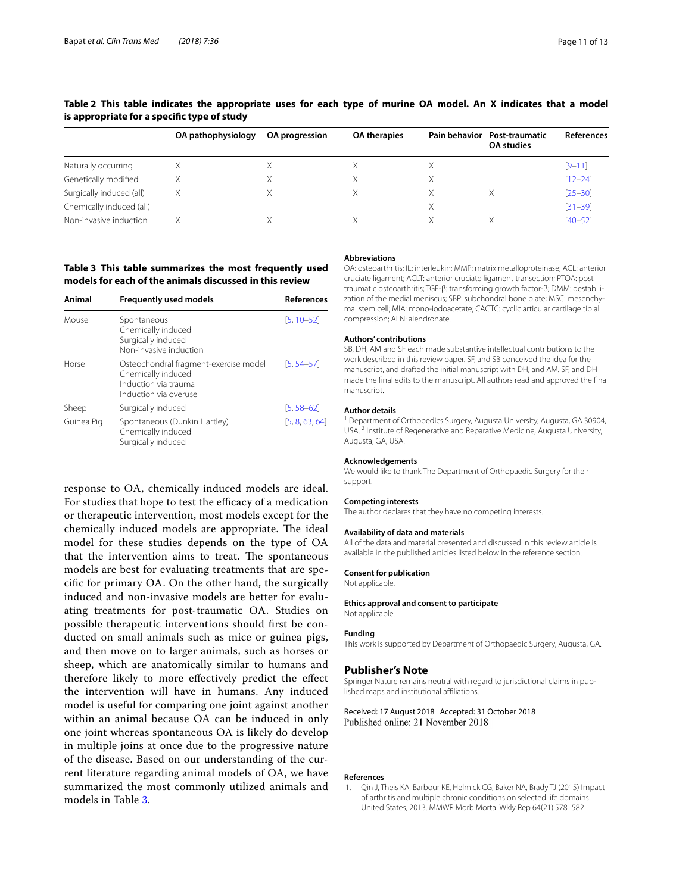|                          | OA pathophysiology | <b>OA</b> progression | <b>OA therapies</b> |   | Pain behavior Post-traumatic<br><b>OA studies</b> | <b>References</b> |
|--------------------------|--------------------|-----------------------|---------------------|---|---------------------------------------------------|-------------------|
| Naturally occurring      |                    | Х                     |                     | Χ |                                                   | $[9 - 11]$        |
| Genetically modified     |                    | X                     | X.                  | Χ |                                                   | $[12 - 24]$       |
| Surgically induced (all) | Х                  | X                     | Χ                   | Χ |                                                   | $[25 - 30]$       |
| Chemically induced (all) |                    |                       |                     | X |                                                   | $[31 - 39]$       |
| Non-invasive induction   |                    | Χ                     | X.                  | Χ |                                                   | $[40 - 52]$       |

## <span id="page-10-2"></span>**Table 2 This table indicates the appropriate uses for each type of murine OA model. An X indicates that a model is appropriate for a specifc type of study**

## <span id="page-10-1"></span>**Table 3 This table summarizes the most frequently used models for each of the animals discussed in this review**

| Animal     | <b>Frequently used models</b>                                                                                | References     |
|------------|--------------------------------------------------------------------------------------------------------------|----------------|
| Mouse      | Spontaneous<br>Chemically induced<br>Surgically induced<br>Non-invasive induction                            | $[5, 10 - 52]$ |
| Horse      | Osteochondral fragment-exercise model<br>Chemically induced<br>Induction via trauma<br>Induction via overuse | $[5.54 - 57]$  |
| Sheep      | Surgically induced                                                                                           | $[5.58 - 62]$  |
| Guinea Pig | Spontaneous (Dunkin Hartley)<br>Chemically induced<br>Surgically induced                                     | [5, 8, 63, 64] |

response to OA, chemically induced models are ideal. For studies that hope to test the efficacy of a medication or therapeutic intervention, most models except for the chemically induced models are appropriate. The ideal model for these studies depends on the type of OA that the intervention aims to treat. The spontaneous models are best for evaluating treatments that are specifc for primary OA. On the other hand, the surgically induced and non-invasive models are better for evaluating treatments for post-traumatic OA. Studies on possible therapeutic interventions should frst be conducted on small animals such as mice or guinea pigs, and then move on to larger animals, such as horses or sheep, which are anatomically similar to humans and therefore likely to more efectively predict the efect the intervention will have in humans. Any induced model is useful for comparing one joint against another within an animal because OA can be induced in only one joint whereas spontaneous OA is likely do develop in multiple joins at once due to the progressive nature of the disease. Based on our understanding of the current literature regarding animal models of OA, we have summarized the most commonly utilized animals and models in Table [3.](#page-10-1)

#### **Abbreviations**

OA: osteoarthritis; IL: interleukin; MMP: matrix metalloproteinase; ACL: anterior cruciate ligament; ACLT: anterior cruciate ligament transection; PTOA: post traumatic osteoarthritis; TGF-β: transforming growth factor-β; DMM: destabilization of the medial meniscus; SBP: subchondral bone plate; MSC: mesenchymal stem cell; MIA: mono-iodoacetate; CACTC: cyclic articular cartilage tibial compression; ALN: alendronate.

#### **Authors' contributions**

SB, DH, AM and SF each made substantive intellectual contributions to the work described in this review paper. SF, and SB conceived the idea for the manuscript, and drafted the initial manuscript with DH, and AM. SF, and DH made the fnal edits to the manuscript. All authors read and approved the fnal manuscript.

#### **Author details**

<sup>1</sup> Department of Orthopedics Surgery, Augusta University, Augusta, GA 30904, USA. <sup>2</sup> Institute of Regenerative and Reparative Medicine, Augusta University, Augusta, GA, USA.

#### **Acknowledgements**

We would like to thank The Department of Orthopaedic Surgery for their support.

#### **Competing interests**

The author declares that they have no competing interests.

#### **Availability of data and materials**

All of the data and material presented and discussed in this review article is available in the published articles listed below in the reference section.

#### **Consent for publication**

Not applicable.

#### **Ethics approval and consent to participate**

Not applicable.

#### **Funding**

This work is supported by Department of Orthopaedic Surgery, Augusta, GA.

#### **Publisher's Note**

Springer Nature remains neutral with regard to jurisdictional claims in published maps and institutional affiliations.

Received: 17 August 2018 Accepted: 31 October 2018 Published online: 21 November 2018

#### **References**

<span id="page-10-0"></span>1. Qin J, Theis KA, Barbour KE, Helmick CG, Baker NA, Brady TJ (2015) Impact of arthritis and multiple chronic conditions on selected life domains— United States, 2013. MMWR Morb Mortal Wkly Rep 64(21):578–582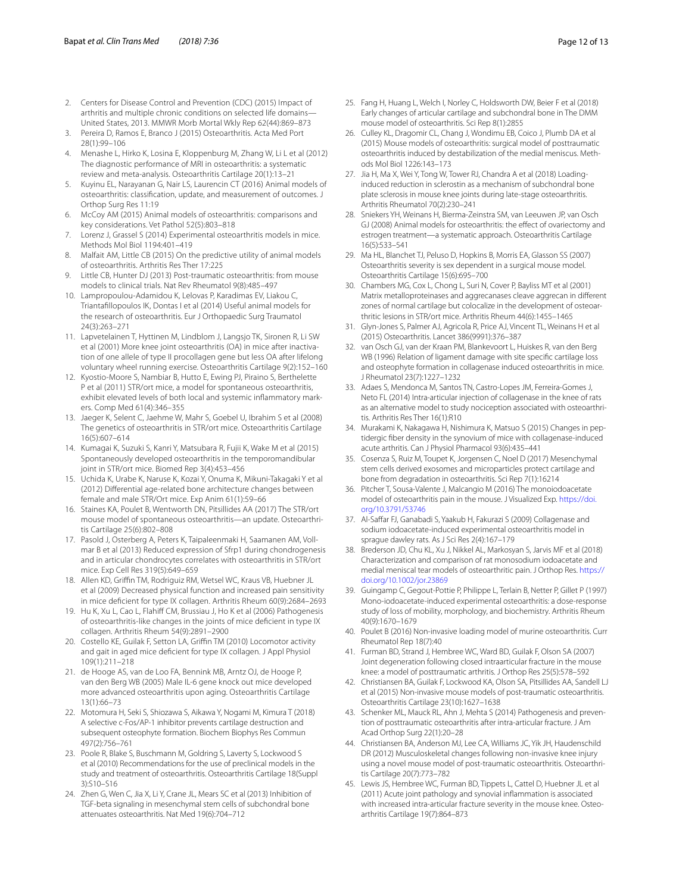- <span id="page-11-0"></span>2. Centers for Disease Control and Prevention (CDC) (2015) Impact of arthritis and multiple chronic conditions on selected life domains— United States, 2013. MMWR Morb Mortal Wkly Rep 62(44):869–873
- <span id="page-11-1"></span>3. Pereira D, Ramos E, Branco J (2015) Osteoarthritis. Acta Med Port 28(1):99–106
- <span id="page-11-2"></span>4. Menashe L, Hirko K, Losina E, Kloppenburg M, Zhang W, Li L et al (2012) The diagnostic performance of MRI in osteoarthritis: a systematic review and meta-analysis. Osteoarthritis Cartilage 20(1):13–21
- <span id="page-11-3"></span>5. Kuyinu EL, Narayanan G, Nair LS, Laurencin CT (2016) Animal models of osteoarthritis: classifcation, update, and measurement of outcomes. J Orthop Surg Res 11:19
- <span id="page-11-4"></span>6. McCoy AM (2015) Animal models of osteoarthritis: comparisons and key considerations. Vet Pathol 52(5):803–818
- <span id="page-11-5"></span>7. Lorenz J, Grassel S (2014) Experimental osteoarthritis models in mice. Methods Mol Biol 1194:401–419
- <span id="page-11-6"></span>8. Malfait AM, Little CB (2015) On the predictive utility of animal models of osteoarthritis. Arthritis Res Ther 17:225
- <span id="page-11-7"></span>9. Little CB, Hunter DJ (2013) Post-traumatic osteoarthritis: from mouse models to clinical trials. Nat Rev Rheumatol 9(8):485–497
- <span id="page-11-8"></span>10. Lampropoulou-Adamidou K, Lelovas P, Karadimas EV, Liakou C, Triantafllopoulos IK, Dontas I et al (2014) Useful animal models for the research of osteoarthritis. Eur J Orthopaedic Surg Traumatol 24(3):263–271
- <span id="page-11-9"></span>11. Lapvetelainen T, Hyttinen M, Lindblom J, Langsjo TK, Sironen R, Li SW et al (2001) More knee joint osteoarthritis (OA) in mice after inactivation of one allele of type II procollagen gene but less OA after lifelong voluntary wheel running exercise. Osteoarthritis Cartilage 9(2):152–160
- <span id="page-11-19"></span>12. Kyostio-Moore S, Nambiar B, Hutto E, Ewing PJ, Piraino S, Berthelette P et al (2011) STR/ort mice, a model for spontaneous osteoarthritis, exhibit elevated levels of both local and systemic infammatory markers. Comp Med 61(4):346–355
- <span id="page-11-20"></span>13. Jaeger K, Selent C, Jaehme W, Mahr S, Goebel U, Ibrahim S et al (2008) The genetics of osteoarthritis in STR/ort mice. Osteoarthritis Cartilage 16(5):607–614
- <span id="page-11-21"></span>14. Kumagai K, Suzuki S, Kanri Y, Matsubara R, Fujii K, Wake M et al (2015) Spontaneously developed osteoarthritis in the temporomandibular joint in STR/ort mice. Biomed Rep 3(4):453–456
- <span id="page-11-22"></span>15. Uchida K, Urabe K, Naruse K, Kozai Y, Onuma K, Mikuni-Takagaki Y et al (2012) Diferential age-related bone architecture changes between female and male STR/Ort mice. Exp Anim 61(1):59–66
- <span id="page-11-23"></span>16. Staines KA, Poulet B, Wentworth DN, Pitsillides AA (2017) The STR/ort mouse model of spontaneous osteoarthritis—an update. Osteoarthritis Cartilage 25(6):802–808
- <span id="page-11-24"></span>17. Pasold J, Osterberg A, Peters K, Taipaleenmaki H, Saamanen AM, Vollmar B et al (2013) Reduced expression of Sfrp1 during chondrogenesis and in articular chondrocytes correlates with osteoarthritis in STR/ort mice. Exp Cell Res 319(5):649–659
- <span id="page-11-25"></span>18. Allen KD, Grifn TM, Rodriguiz RM, Wetsel WC, Kraus VB, Huebner JL et al (2009) Decreased physical function and increased pain sensitivity in mice defcient for type IX collagen. Arthritis Rheum 60(9):2684–2693
- <span id="page-11-26"></span>19. Hu K, Xu L, Cao L, Flahif CM, Brussiau J, Ho K et al (2006) Pathogenesis of osteoarthritis-like changes in the joints of mice defcient in type IX collagen. Arthritis Rheum 54(9):2891–2900
- <span id="page-11-27"></span>20. Costello KE, Guilak F, Setton LA, Griffin TM (2010) Locomotor activity and gait in aged mice defcient for type IX collagen. J Appl Physiol 109(1):211–218
- <span id="page-11-28"></span>21. de Hooge AS, van de Loo FA, Bennink MB, Arntz OJ, de Hooge P, van den Berg WB (2005) Male IL-6 gene knock out mice developed more advanced osteoarthritis upon aging. Osteoarthritis Cartilage 13(1):66–73
- <span id="page-11-10"></span>22. Motomura H, Seki S, Shiozawa S, Aikawa Y, Nogami M, Kimura T (2018) A selective c-Fos/AP-1 inhibitor prevents cartilage destruction and subsequent osteophyte formation. Biochem Biophys Res Commun 497(2):756–761
- <span id="page-11-29"></span>23. Poole R, Blake S, Buschmann M, Goldring S, Laverty S, Lockwood S et al (2010) Recommendations for the use of preclinical models in the study and treatment of osteoarthritis. Osteoarthritis Cartilage 18(Suppl 3):S10–S16
- <span id="page-11-11"></span>24. Zhen G, Wen C, Jia X, Li Y, Crane JL, Mears SC et al (2013) Inhibition of TGF-beta signaling in mesenchymal stem cells of subchondral bone attenuates osteoarthritis. Nat Med 19(6):704–712
- <span id="page-11-12"></span>25. Fang H, Huang L, Welch I, Norley C, Holdsworth DW, Beier F et al (2018) Early changes of articular cartilage and subchondral bone in The DMM mouse model of osteoarthritis. Sci Rep 8(1):2855
- <span id="page-11-30"></span>26. Culley KL, Dragomir CL, Chang J, Wondimu EB, Coico J, Plumb DA et al (2015) Mouse models of osteoarthritis: surgical model of posttraumatic osteoarthritis induced by destabilization of the medial meniscus. Methods Mol Biol 1226:143–173
- <span id="page-11-13"></span>27. Jia H, Ma X, Wei Y, Tong W, Tower RJ, Chandra A et al (2018) Loadinginduced reduction in sclerostin as a mechanism of subchondral bone plate sclerosis in mouse knee joints during late-stage osteoarthritis. Arthritis Rheumatol 70(2):230–241
- <span id="page-11-31"></span>28. Sniekers YH, Weinans H, Bierma-Zeinstra SM, van Leeuwen JP, van Osch GJ (2008) Animal models for osteoarthritis: the effect of ovariectomy and estrogen treatment—a systematic approach. Osteoarthritis Cartilage 16(5):533–541
- <span id="page-11-32"></span>29. Ma HL, Blanchet TJ, Peluso D, Hopkins B, Morris EA, Glasson SS (2007) Osteoarthritis severity is sex dependent in a surgical mouse model. Osteoarthritis Cartilage 15(6):695–700
- <span id="page-11-33"></span>30. Chambers MG, Cox L, Chong L, Suri N, Cover P, Bayliss MT et al (2001) Matrix metalloproteinases and aggrecanases cleave aggrecan in diferent zones of normal cartilage but colocalize in the development of osteoarthritic lesions in STR/ort mice. Arthritis Rheum 44(6):1455–1465
- <span id="page-11-34"></span>31. Glyn-Jones S, Palmer AJ, Agricola R, Price AJ, Vincent TL, Weinans H et al (2015) Osteoarthritis. Lancet 386(9991):376–387
- <span id="page-11-14"></span>32. van Osch GJ, van der Kraan PM, Blankevoort L, Huiskes R, van den Berg WB (1996) Relation of ligament damage with site specifc cartilage loss and osteophyte formation in collagenase induced osteoarthritis in mice. J Rheumatol 23(7):1227–1232
- <span id="page-11-15"></span>33. Adaes S, Mendonca M, Santos TN, Castro-Lopes JM, Ferreira-Gomes J, Neto FL (2014) Intra-articular injection of collagenase in the knee of rats as an alternative model to study nociception associated with osteoarthritis. Arthritis Res Ther 16(1):R10
- <span id="page-11-35"></span>34. Murakami K, Nakagawa H, Nishimura K, Matsuo S (2015) Changes in peptidergic fber density in the synovium of mice with collagenase-induced acute arthritis. Can J Physiol Pharmacol 93(6):435–441
- <span id="page-11-36"></span>35. Cosenza S, Ruiz M, Toupet K, Jorgensen C, Noel D (2017) Mesenchymal stem cells derived exosomes and microparticles protect cartilage and bone from degradation in osteoarthritis. Sci Rep 7(1):16214
- <span id="page-11-37"></span>36. Pitcher T, Sousa-Valente J, Malcangio M (2016) The monoiodoacetate model of osteoarthritis pain in the mouse. J Visualized Exp. [https://doi.](https://doi.org/10.3791/53746) [org/10.3791/53746](https://doi.org/10.3791/53746)
- 37. Al-Safar FJ, Ganabadi S, Yaakub H, Fakurazi S (2009) Collagenase and sodium iodoacetate-induced experimental osteoarthritis model in sprague dawley rats. As J Sci Res 2(4):167–179
- 38. Brederson JD, Chu KL, Xu J, Nikkel AL, Markosyan S, Jarvis MF et al (2018) Characterization and comparison of rat monosodium iodoacetate and medial meniscal tear models of osteoarthritic pain. J Orthop Res. [https://](https://doi.org/10.1002/jor.23869) [doi.org/10.1002/jor.23869](https://doi.org/10.1002/jor.23869)
- <span id="page-11-38"></span>39. Guingamp C, Gegout-Pottie P, Philippe L, Terlain B, Netter P, Gillet P (1997) Mono-iodoacetate-induced experimental osteoarthritis: a dose-response study of loss of mobility, morphology, and biochemistry. Arthritis Rheum 40(9):1670–1679
- <span id="page-11-16"></span>40. Poulet B (2016) Non-invasive loading model of murine osteoarthritis. Curr Rheumatol Rep 18(7):40
- <span id="page-11-39"></span>41. Furman BD, Strand J, Hembree WC, Ward BD, Guilak F, Olson SA (2007) Joint degeneration following closed intraarticular fracture in the mouse knee: a model of posttraumatic arthritis. J Orthop Res 25(5):578–592
- <span id="page-11-17"></span>42. Christiansen BA, Guilak F, Lockwood KA, Olson SA, Pitsillides AA, Sandell LJ et al (2015) Non-invasive mouse models of post-traumatic osteoarthritis. Osteoarthritis Cartilage 23(10):1627–1638
- <span id="page-11-18"></span>43. Schenker ML, Mauck RL, Ahn J, Mehta S (2014) Pathogenesis and prevention of posttraumatic osteoarthritis after intra-articular fracture. J Am Acad Orthop Surg 22(1):20–28
- <span id="page-11-41"></span>44. Christiansen BA, Anderson MJ, Lee CA, Williams JC, Yik JH, Haudenschild DR (2012) Musculoskeletal changes following non-invasive knee injury using a novel mouse model of post-traumatic osteoarthritis. Osteoarthritis Cartilage 20(7):773–782
- <span id="page-11-40"></span>45. Lewis JS, Hembree WC, Furman BD, Tippets L, Cattel D, Huebner JL et al (2011) Acute joint pathology and synovial infammation is associated with increased intra-articular fracture severity in the mouse knee. Osteoarthritis Cartilage 19(7):864–873